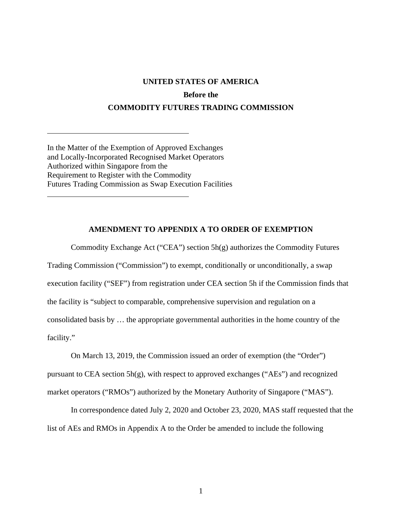## **UNITED STATES OF AMERICA Before the COMMODITY FUTURES TRADING COMMISSION**

In the Matter of the Exemption of Approved Exchanges and Locally-Incorporated Recognised Market Operators Authorized within Singapore from the Requirement to Register with the Commodity Futures Trading Commission as Swap Execution Facilities  $\overline{a}$ 

 $\overline{a}$ 

## **AMENDMENT TO APPENDIX A TO ORDER OF EXEMPTION**

Commodity Exchange Act ("CEA") section 5h(g) authorizes the Commodity Futures Trading Commission ("Commission") to exempt, conditionally or unconditionally, a swap execution facility ("SEF") from registration under CEA section 5h if the Commission finds that the facility is "subject to comparable, comprehensive supervision and regulation on a consolidated basis by … the appropriate governmental authorities in the home country of the facility."

On March 13, 2019, the Commission issued an order of exemption (the "Order") pursuant to CEA section 5h(g), with respect to approved exchanges ("AEs") and recognized market operators ("RMOs") authorized by the Monetary Authority of Singapore ("MAS").

In correspondence dated July 2, 2020 and October 23, 2020, MAS staff requested that the list of AEs and RMOs in Appendix A to the Order be amended to include the following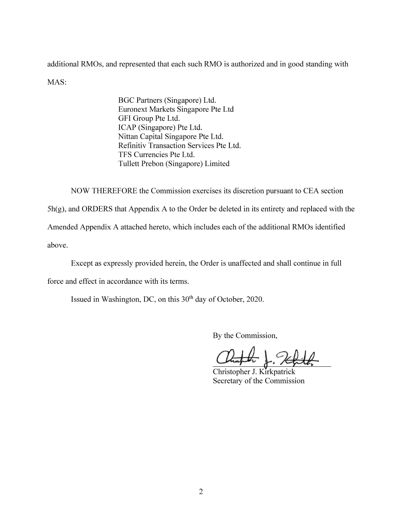additional RMOs, and represented that each such RMO is authorized and in good standing with MAS:

> BGC Partners (Singapore) Ltd. Euronext Markets Singapore Pte Ltd GFI Group Pte Ltd. ICAP (Singapore) Pte Ltd. Nittan Capital Singapore Pte Ltd. Refinitiv Transaction Services Pte Ltd. TFS Currencies Pte Ltd. Tullett Prebon (Singapore) Limited

NOW THEREFORE the Commission exercises its discretion pursuant to CEA section

5h(g), and ORDERS that Appendix A to the Order be deleted in its entirety and replaced with the

Amended Appendix A attached hereto, which includes each of the additional RMOs identified

above.

Except as expressly provided herein, the Order is unaffected and shall continue in full

force and effect in accordance with its terms.

Issued in Washington, DC, on this 30<sup>th</sup> day of October, 2020.

By the Commission,

Christopher J. Kirkpatrick Secretary of the Commission